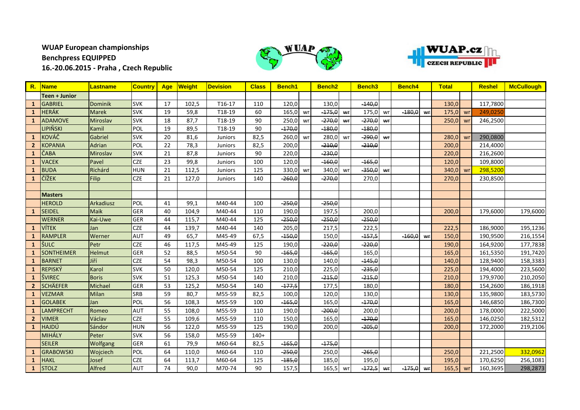## **WUAP European championships Benchpress EQUIPPED 16.-20.06.2015 - Praha , Czech Republic**





| $R_{\cdot}$    | <b>Name</b>       | <b>Lastname</b> | <b>Country</b> | Age | Weight | <b>Devision</b> | <b>Class</b> | Bench1   |    | Bench <sub>2</sub> |    | Bench <sub>3</sub> |    | <b>Bench4</b> |    | <b>Total</b> |    | <b>Reshel</b> | McCullough |
|----------------|-------------------|-----------------|----------------|-----|--------|-----------------|--------------|----------|----|--------------------|----|--------------------|----|---------------|----|--------------|----|---------------|------------|
|                | Teen + Junior     |                 |                |     |        |                 |              |          |    |                    |    |                    |    |               |    |              |    |               |            |
|                | <b>GABRIEL</b>    | <b>Dominik</b>  | <b>SVK</b>     | 17  | 102,5  | T16-17          | 110          | 120,0    |    | 130,0              |    | $-140,0$           |    |               |    | 130,0        |    | 117,7800      |            |
|                | <b>HERÁK</b>      | <b>Marek</b>    | <b>SVK</b>     | 19  | 59,8   | T18-19          | 60           | 165,0    | wr | $-175,0$           | wr | 175,0              | wr | $-180,0$      | wr | 175,0        | wr | 249,0250      |            |
|                | <b>ADAMOVE</b>    | Miroslav        | <b>SVK</b>     | 18  | 87,7   | T18-19          | 90           | 250,0    | wr | $-270,0$           | Wr | $-270,0$           | wr |               |    | 250,0        | wr | 246,2500      |            |
|                | LIPIŇSKI          | Kamil           | POL            | 19  | 89,5   | T18-19          | 90           | $-170,0$ |    | $-180,0$           |    | $-180,0$           |    |               |    |              |    |               |            |
|                | <b>KOVÁČ</b>      | Gabriel         | <b>SVK</b>     | 20  | 81,6   | Juniors         | 82,5         | 260,0    | wr | 280,0              | wr | $-290,0$           | wr |               |    | 280,0        | wr | 290,0800      |            |
|                | <b>KOPANIA</b>    | Adrian          | <b>POL</b>     | 22  | 78,3   | Juniors         | 82,5         | 200,0    |    | $-210,0$           |    | $-210,0$           |    |               |    | 200,0        |    | 214,4000      |            |
| 1              | ČABA              | Miroslav        | <b>SVK</b>     | 21  | 87,8   | <b>Juniors</b>  | 90           | 220,0    |    | $-230,0$           |    |                    |    |               |    | 220,0        |    | 216,2600      |            |
|                | <b>VACEK</b>      | Pavel           | <b>CZE</b>     | 23  | 99,8   | <b>Juniors</b>  | 100          | 120,0    |    | $-160,0$           |    | $-165,0$           |    |               |    | 120,0        |    | 109,8000      |            |
|                | <b>BUDA</b>       | Richárd         | <b>HUN</b>     | 21  | 112,5  | Juniors         | 125          | 330,0    | wr | 340,0              | wr | $-350,0$           | wr |               |    | 340,0        | wr | 298,5200      |            |
|                | ČÍŽEK             | Filip           | <b>CZE</b>     | 21  | 127,0  | Juniors         | 140          | $-260,0$ |    | $-270,0$           |    | 270,0              |    |               |    | 270,0        |    | 230,8500      |            |
|                |                   |                 |                |     |        |                 |              |          |    |                    |    |                    |    |               |    |              |    |               |            |
|                | <b>Masters</b>    |                 |                |     |        |                 |              |          |    |                    |    |                    |    |               |    |              |    |               |            |
|                | <b>HEROLD</b>     | Arkadiusz       | POL            | 41  | 99,1   | M40-44          | 100          | $-250,0$ |    | $-250,0$           |    |                    |    |               |    |              |    |               |            |
|                | <b>SEIDEL</b>     | <b>Maik</b>     | <b>GER</b>     | 40  | 104,9  | M40-44          | 110          | 190,0    |    | 197,5              |    | 200,0              |    |               |    | 200,0        |    | 179,6000      | 179,6000   |
|                | <b>WERNER</b>     | Kai-Uwe         | <b>GER</b>     | 44  | 115,7  | M40-44          | 125          | -250,0   |    | $-250,0$           |    | $-250,0$           |    |               |    |              |    |               |            |
|                | <b>VÍTEK</b>      | Jan             | <b>CZE</b>     | 44  | 139,7  | M40-44          | 140          | 205,0    |    | 217,5              |    | 222,5              |    |               |    | 222,5        |    | 186,9000      | 195,1236   |
|                | <b>RAMPLER</b>    | Werner          | <b>AUT</b>     | 49  | 65,7   | M45-49          | 67,5         | $-150,0$ |    | 150,0              |    | $-157,5$           |    | $-160,0$      | WF | 150,0        |    | 190,9500      | 216,1554   |
|                | ŠULC              | Petr            | <b>CZE</b>     | 46  | 117,5  | M45-49          | 125          | 190,0    |    | $-220,0$           |    | $-220,0$           |    |               |    | 190,0        |    | 164,9200      | 177,7838   |
|                | <b>SONTHEIMER</b> | Helmut          | <b>GER</b>     | 52  | 88,5   | M50-54          | 90           | $-165,0$ |    | $-165,0$           |    | 165,0              |    |               |    | 165,0        |    | 161,5350      | 191,7420   |
|                | <b>BARNET</b>     | Jiří            | <b>CZE</b>     | 54  | 98,3   | M50-54          | 100          | 130,0    |    | 140,0              |    | $-145,0$           |    |               |    | 140,0        |    | 128,9400      | 158,3383   |
|                | <b>REPISKÝ</b>    | Karol           | <b>SVK</b>     | 50  | 120,0  | M50-54          | 125          | 210,0    |    | 225,0              |    | $-235,0$           |    |               |    | 225,0        |    | 194,4000      | 223,5600   |
| 1              | <b>ŠVIREC</b>     | <b>Boris</b>    | <b>SVK</b>     | 51  | 125,3  | M50-54          | 140          | 210,0    |    | $-215,0$           |    | $-215,0$           |    |               |    | 210,0        |    | 179,9700      | 210,2050   |
|                | <b>SCHÄEFER</b>   | Michael         | <b>GER</b>     | 53  | 125,2  | M50-54          | 140          | $-177,5$ |    | 177,5              |    | 180,0              |    |               |    | 180,0        |    | 154,2600      | 186,1918   |
|                | <b>VEZMAR</b>     | Milan           | <b>SRB</b>     | 59  | 80,7   | M55-59          | 82,5         | 100,0    |    | 120,0              |    | 130,0              |    |               |    | 130,0        |    | 135,9800      | 183,5730   |
|                | <b>GOLABEK</b>    | Jan             | POL            | 56  | 108,3  | M55-59          | 100          | $-165,0$ |    | 165,0              |    | $-170,0$           |    |               |    | 165,0        |    | 146,6850      | 186,7300   |
|                | <b>LAMPRECHT</b>  | Romeo           | <b>AUT</b>     | 55  | 108,0  | M55-59          | 110          | 190,0    |    | $-200,0$           |    | 200,0              |    |               |    | 200,0        |    | 178,0000      | 222,5000   |
| $\overline{2}$ | <b>VIMER</b>      | Václav          | <b>CZE</b>     | 55  | 109,6  | M55-59          | 110          | 150,0    |    | 165,0              |    | $-170,0$           |    |               |    | 165,0        |    | 146,0250      | 182,5312   |
|                | HAJDÚ             | Sándor          | <b>HUN</b>     | 56  | 122,0  | M55-59          | 125          | 190,0    |    | 200,0              |    | $-205,0$           |    |               |    | 200,0        |    | 172,2000      | 219,2106   |
|                | MIHÁLY            | Peter           | <b>SVK</b>     | 56  | 158,0  | M55-59          | $140+$       |          |    |                    |    |                    |    |               |    |              |    |               |            |
|                | <b>SEILER</b>     | Wolfgang        | <b>GER</b>     | 61  | 79,9   | M60-64          | 82,5         | $-165,0$ |    | $-175,0$           |    |                    |    |               |    |              |    |               |            |
|                | <b>GRABOWSKI</b>  | Wojciech        | POL            | 64  | 110,0  | M60-64          | 110          | $-250,0$ |    | 250,0              |    | $-265,0$           |    |               |    | 250,0        |    | 221,2500      | 332,0962   |
| 1              | <b>HAKL</b>       | Josef           | <b>CZE</b>     | 64  | 113,7  | M60-64          | 125          | 185,0    |    | 185,0              |    | 195,0              |    |               |    | 195,0        |    | 170,6250      | 256,1081   |
| $\mathbf{1}$   | <b>STOLZ</b>      | Alfred          | <b>AUT</b>     | 74  | 90,0   | M70-74          | 90           | 157,5    |    | 165,5              | wr | $-172,5$           | Wr | $-175,0$      | Wf | 165,5        | wr | 160,3695      | 298,2873   |